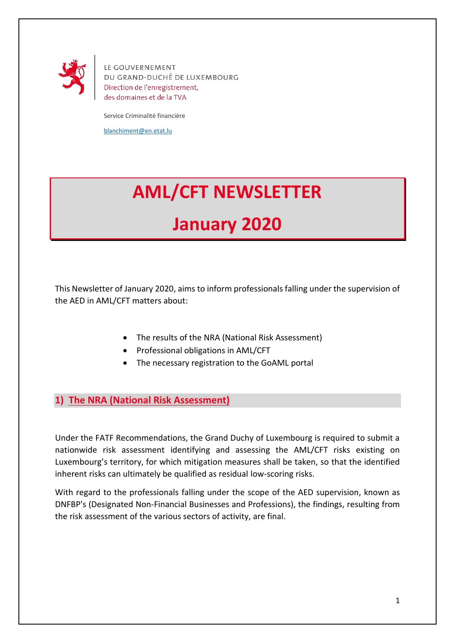

LE GOUVERNEMENT DU GRAND-DUCHÉ DE LUXEMBOURG Direction de l'enregistrement, des domaines et de la TVA

Service Criminalité financière

[blanchiment@en.etat.lu](mailto:blanchiment@en.etat.lu)

## **AML/CFT NEWSLETTER**

## **January 2020**

This Newsletter of January 2020, aims to inform professionals falling under the supervision of the AED in AML/CFT matters about:

- The results of the NRA (National Risk Assessment)
- Professional obligations in AML/CFT
- The necessary registration to the GoAML portal

**1) The NRA (National Risk Assessment)**

Under the FATF Recommendations, the Grand Duchy of Luxembourg is required to submit a nationwide risk assessment identifying and assessing the AML/CFT risks existing on Luxembourg's territory, for which mitigation measures shall be taken, so that the identified inherent risks can ultimately be qualified as residual low-scoring risks.

With regard to the professionals falling under the scope of the AED supervision, known as DNFBP's (Designated Non-Financial Businesses and Professions), the findings, resulting from the risk assessment of the various sectors of activity, are final.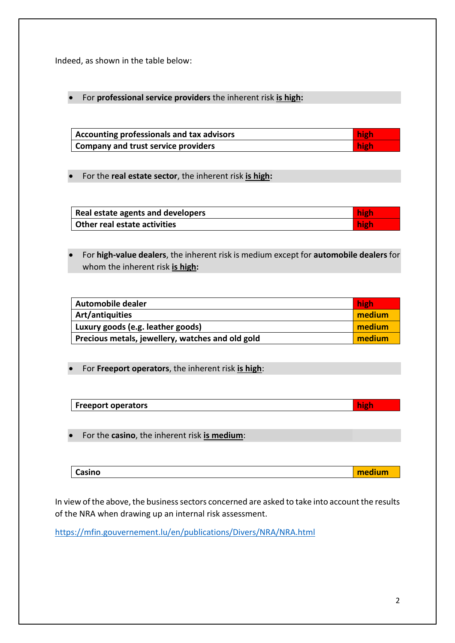Indeed, as shown in the table below:

For **professional service providers** the inherent risk **is high:**

| Accounting professionals and tax advisors  | high |
|--------------------------------------------|------|
| <b>Company and trust service providers</b> | high |

For the **real estate sector**, the inherent risk **is high:**

| Real estate agents and developers | high |
|-----------------------------------|------|
| Other real estate activities      | high |

 For **high-value dealers**, the inherent risk is medium except for **automobile dealers** for whom the inherent risk **is high:**

| Automobile dealer                                | high   |
|--------------------------------------------------|--------|
| Art/antiquities                                  | medium |
| Luxury goods (e.g. leather goods)                | medium |
| Precious metals, jewellery, watches and old gold | medium |

For **Freeport operators**, the inherent risk **is high**:

| <b>Freeport operators</b> |  | high |
|---------------------------|--|------|
|---------------------------|--|------|

For the **casino**, the inherent risk **is medium**:

| Casino<br>and a discuss<br><u>ealum</u> |
|-----------------------------------------|
|-----------------------------------------|

In view of the above, the business sectors concerned are asked to take into account the results of the NRA when drawing up an internal risk assessment.

<https://mfin.gouvernement.lu/en/publications/Divers/NRA/NRA.html>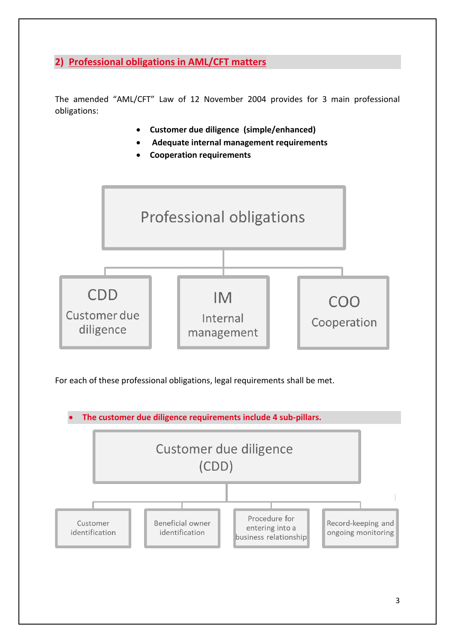**2) Professional obligations in AML/CFT matters**

The amended "AML/CFT" Law of 12 November 2004 provides for 3 main professional obligations:

- **Customer due diligence (simple/enhanced)**
- **Adequate internal management requirements**
- **Cooperation requirements**



For each of these professional obligations, legal requirements shall be met.

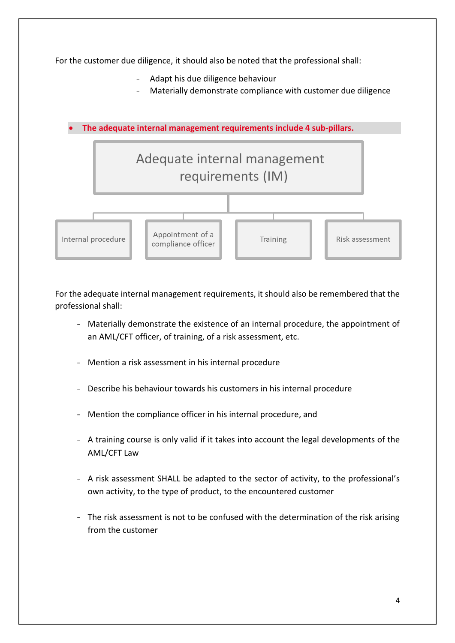For the customer due diligence, it should also be noted that the professional shall: Adapt his due diligence behaviour Materially demonstrate compliance with customer due diligence **The adequate internal management requirements include 4 sub-pillars.** Adequate internal management requirements (IM) Appointment of a Internal procedure Training Risk assessment compliance officer

For the adequate internal management requirements, it should also be remembered that the professional shall:

- Materially demonstrate the existence of an internal procedure, the appointment of an AML/CFT officer, of training, of a risk assessment, etc.
- Mention a risk assessment in his internal procedure
- Describe his behaviour towards his customers in his internal procedure
- Mention the compliance officer in his internal procedure, and
- A training course is only valid if it takes into account the legal developments of the AML/CFT Law
- A risk assessment SHALL be adapted to the sector of activity, to the professional's own activity, to the type of product, to the encountered customer
- The risk assessment is not to be confused with the determination of the risk arising from the customer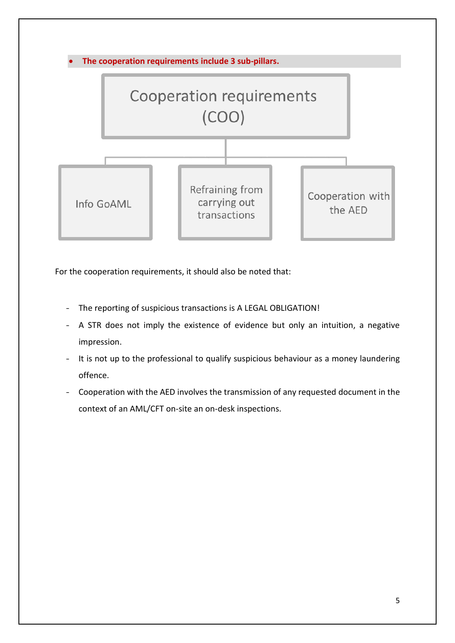

For the cooperation requirements, it should also be noted that:

- The reporting of suspicious transactions is A LEGAL OBLIGATION!
- A STR does not imply the existence of evidence but only an intuition, a negative impression.
- It is not up to the professional to qualify suspicious behaviour as a money laundering offence.
- Cooperation with the AED involves the transmission of any requested document in the context of an AML/CFT on-site an on-desk inspections.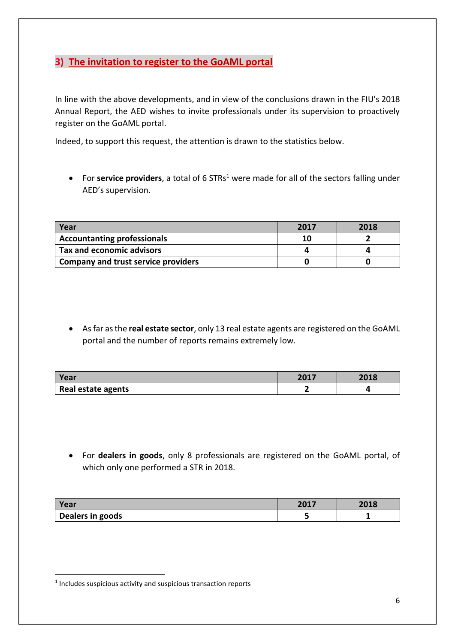## **3) The invitation to register to the GoAML portal**

In line with the above developments, and in view of the conclusions drawn in the FIU's 2018 Annual Report, the AED wishes to invite professionals under its supervision to proactively register on the GoAML portal.

Indeed, to support this request, the attention is drawn to the statistics below.

• For service providers, a total of 6 STRs<sup>1</sup> were made for all of the sectors falling under AED's supervision.

| Year                                | 2017 | 2018 |
|-------------------------------------|------|------|
| <b>Accountanting professionals</b>  | 10   |      |
| Tax and economic advisors           |      |      |
| Company and trust service providers |      |      |

 As far as the **real estate sector**, only 13 real estate agents are registered on the GoAML portal and the number of reports remains extremely low.

| Year               | 2017 | 2018 |
|--------------------|------|------|
| Real estate agents |      |      |

 For **dealers in goods**, only 8 professionals are registered on the GoAML portal, of which only one performed a STR in 2018.

| Year             | 2017 | <b>2010</b><br>ZUI8 |
|------------------|------|---------------------|
| Dealers in goods |      |                     |

**.** 

<sup>&</sup>lt;sup>1</sup> Includes suspicious activity and suspicious transaction reports